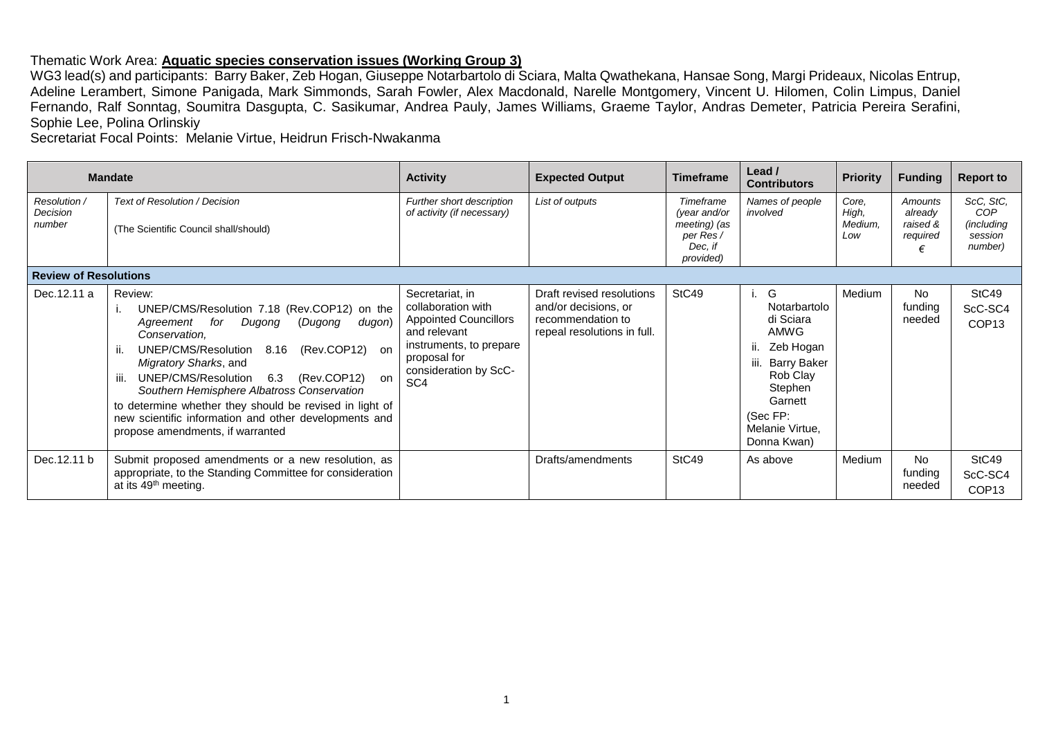## Thematic Work Area: **Aquatic species conservation issues (Working Group 3)**

WG3 lead(s) and participants: Barry Baker, Zeb Hogan, Giuseppe Notarbartolo di Sciara, Malta Qwathekana, Hansae Song, Margi Prideaux, Nicolas Entrup, Adeline Lerambert, Simone Panigada, Mark Simmonds, Sarah Fowler, Alex Macdonald, Narelle Montgomery, Vincent U. Hilomen, Colin Limpus, Daniel Fernando, Ralf Sonntag, Soumitra Dasgupta, C. Sasikumar, Andrea Pauly, James Williams, Graeme Taylor, Andras Demeter, Patricia Pereira Serafini, Sophie Lee, Polina Orlinskiy

Secretariat Focal Points: Melanie Virtue, Heidrun Frisch-Nwakanma

|                                    | <b>Mandate</b>                                                                                                                                                                                                                                                                                                                                                                                                                                                   | <b>Activity</b>                                                                                                                                                              | <b>Expected Output</b>                                                                                | <b>Timeframe</b>                                                               | Lead $\prime$<br><b>Contributors</b>                                                                                                                           | <b>Priority</b>                  | <b>Funding</b>                                  | <b>Report to</b>                                     |
|------------------------------------|------------------------------------------------------------------------------------------------------------------------------------------------------------------------------------------------------------------------------------------------------------------------------------------------------------------------------------------------------------------------------------------------------------------------------------------------------------------|------------------------------------------------------------------------------------------------------------------------------------------------------------------------------|-------------------------------------------------------------------------------------------------------|--------------------------------------------------------------------------------|----------------------------------------------------------------------------------------------------------------------------------------------------------------|----------------------------------|-------------------------------------------------|------------------------------------------------------|
| Resolution /<br>Decision<br>number | <b>Text of Resolution / Decision</b><br>(The Scientific Council shall/should)                                                                                                                                                                                                                                                                                                                                                                                    | Further short description<br>of activity (if necessary)                                                                                                                      | List of outputs                                                                                       | Timeframe<br>(year and/or<br>meeting) (as<br>per Res /<br>Dec, if<br>provided) | Names of people<br>involved                                                                                                                                    | Core.<br>High,<br>Medium.<br>Low | Amounts<br>already<br>raised &<br>required<br>€ | ScC, StC,<br>COP<br>(including<br>session<br>number) |
| <b>Review of Resolutions</b>       |                                                                                                                                                                                                                                                                                                                                                                                                                                                                  |                                                                                                                                                                              |                                                                                                       |                                                                                |                                                                                                                                                                |                                  |                                                 |                                                      |
| Dec.12.11 a                        | Review:<br>UNEP/CMS/Resolution 7.18 (Rev.COP12) on the<br>Dugong<br>(Dugong<br>for<br>Agreement<br>dugon)<br>Conservation,<br>(Rev.COP12) on<br>UNEP/CMS/Resolution<br>8.16<br>Migratory Sharks, and<br>6.3<br>(Rev.COP12) on<br>UNEP/CMS/Resolution<br>ш.<br>Southern Hemisphere Albatross Conservation<br>to determine whether they should be revised in light of<br>new scientific information and other developments and<br>propose amendments, if warranted | Secretariat, in<br>collaboration with<br><b>Appointed Councillors</b><br>and relevant<br>instruments, to prepare<br>proposal for<br>consideration by ScC-<br>SC <sub>4</sub> | Draft revised resolutions<br>and/or decisions, or<br>recommendation to<br>repeal resolutions in full. | StC49                                                                          | i. G<br>Notarbartolo<br>di Sciara<br>AMWG<br>ii. Zeb Hogan<br>iii. Barry Baker<br>Rob Clay<br>Stephen<br>Garnett<br>(Sec FP:<br>Melanie Virtue,<br>Donna Kwan) | Medium                           | No<br>funding<br>needed                         | StC49<br>ScC-SC4<br>COP <sub>13</sub>                |
| Dec. 12.11 b                       | Submit proposed amendments or a new resolution, as<br>appropriate, to the Standing Committee for consideration<br>at its 49 <sup>th</sup> meeting.                                                                                                                                                                                                                                                                                                               |                                                                                                                                                                              | Drafts/amendments                                                                                     | StC49                                                                          | As above                                                                                                                                                       | Medium                           | <b>No</b><br>funding<br>needed                  | StC49<br>ScC-SC4<br>COP <sub>13</sub>                |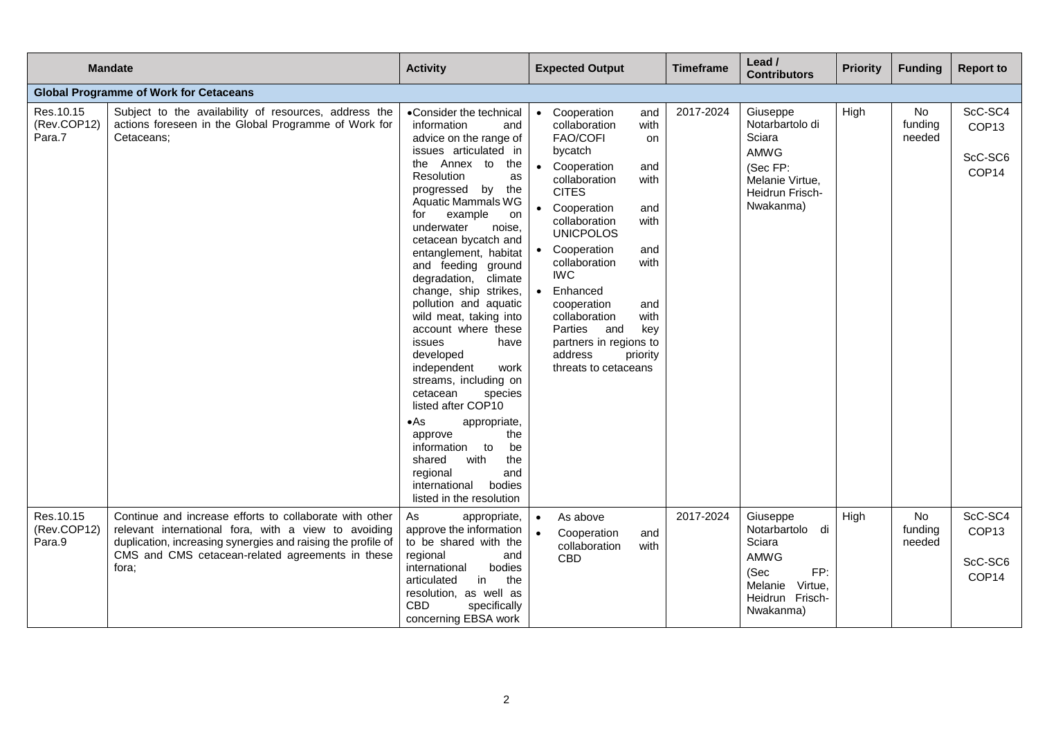|                                     | <b>Mandate</b>                                                                                                                                                                                                                               | <b>Activity</b>                                                                                                                                                                                                                                                                                                                                                                                                                                                                                                                                                                                                                                                                                                                                                      |           | <b>Expected Output</b>                                                                                                                                                                                                                                                                                                                            |                                                                                                  | <b>Timeframe</b> | Lead /<br><b>Contributors</b>                                                                                       | <b>Priority</b> | <b>Funding</b>          | <b>Report to</b>                                 |
|-------------------------------------|----------------------------------------------------------------------------------------------------------------------------------------------------------------------------------------------------------------------------------------------|----------------------------------------------------------------------------------------------------------------------------------------------------------------------------------------------------------------------------------------------------------------------------------------------------------------------------------------------------------------------------------------------------------------------------------------------------------------------------------------------------------------------------------------------------------------------------------------------------------------------------------------------------------------------------------------------------------------------------------------------------------------------|-----------|---------------------------------------------------------------------------------------------------------------------------------------------------------------------------------------------------------------------------------------------------------------------------------------------------------------------------------------------------|--------------------------------------------------------------------------------------------------|------------------|---------------------------------------------------------------------------------------------------------------------|-----------------|-------------------------|--------------------------------------------------|
|                                     | <b>Global Programme of Work for Cetaceans</b>                                                                                                                                                                                                |                                                                                                                                                                                                                                                                                                                                                                                                                                                                                                                                                                                                                                                                                                                                                                      |           |                                                                                                                                                                                                                                                                                                                                                   |                                                                                                  |                  |                                                                                                                     |                 |                         |                                                  |
| Res. 10.15<br>(Rev.COP12)<br>Para.7 | Subject to the availability of resources, address the<br>actions foreseen in the Global Programme of Work for<br>Cetaceans;                                                                                                                  | •Consider the technical<br>information<br>and<br>advice on the range of<br>issues articulated in<br>Annex to<br>the<br>the<br>Resolution<br>as<br>progressed<br>by<br>the<br><b>Aquatic Mammals WG</b><br>for<br>example<br>on<br>underwater<br>noise,<br>cetacean bycatch and<br>entanglement, habitat<br>and feeding ground<br>degradation, climate<br>change, ship strikes,<br>pollution and aquatic<br>wild meat, taking into<br>account where these<br>issues<br>have<br>developed<br>independent<br>work<br>streams, including on<br>cetacean<br>species<br>listed after COP10<br>$\bullet$ As<br>appropriate,<br>the<br>approve<br>to<br>be<br>information<br>with<br>shared<br>the<br>regional<br>and<br>international<br>bodies<br>listed in the resolution |           | • Cooperation<br>collaboration<br><b>FAO/COFI</b><br>bycatch<br>• Cooperation<br>collaboration<br><b>CITES</b><br>• Cooperation<br>collaboration<br><b>UNICPOLOS</b><br>• Cooperation<br>collaboration<br><b>IWC</b><br>• Enhanced<br>cooperation<br>collaboration<br>Parties<br>and<br>partners in regions to<br>address<br>threats to cetaceans | and<br>with<br>on<br>and<br>with<br>and<br>with<br>and<br>with<br>and<br>with<br>key<br>priority | 2017-2024        | Giuseppe<br>Notarbartolo di<br>Sciara<br><b>AMWG</b><br>(Sec FP:<br>Melanie Virtue.<br>Heidrun Frisch-<br>Nwakanma) | High            | No<br>funding<br>needed | ScC-SC4<br>COP <sub>13</sub><br>ScC-SC6<br>COP14 |
| Res.10.15<br>(Rev.COP12)<br>Para.9  | Continue and increase efforts to collaborate with other<br>relevant international fora, with a view to avoiding<br>duplication, increasing synergies and raising the profile of<br>CMS and CMS cetacean-related agreements in these<br>fora; | As<br>appropriate,<br>approve the information<br>to be shared with the<br>regional<br>and<br>bodies<br>international<br>articulated<br>in<br>the<br>resolution, as well as<br><b>CBD</b><br>specifically<br>concerning EBSA work                                                                                                                                                                                                                                                                                                                                                                                                                                                                                                                                     | $\bullet$ | As above<br>Cooperation<br>collaboration<br>CBD                                                                                                                                                                                                                                                                                                   | and<br>with                                                                                      | 2017-2024        | Giuseppe<br>Notarbartolo di<br>Sciara<br>AMWG<br>FP:<br>(Sec<br>Melanie Virtue,<br>Heidrun Frisch-<br>Nwakanma)     | High            | No<br>funding<br>needed | ScC-SC4<br>COP <sub>13</sub><br>ScC-SC6<br>COP14 |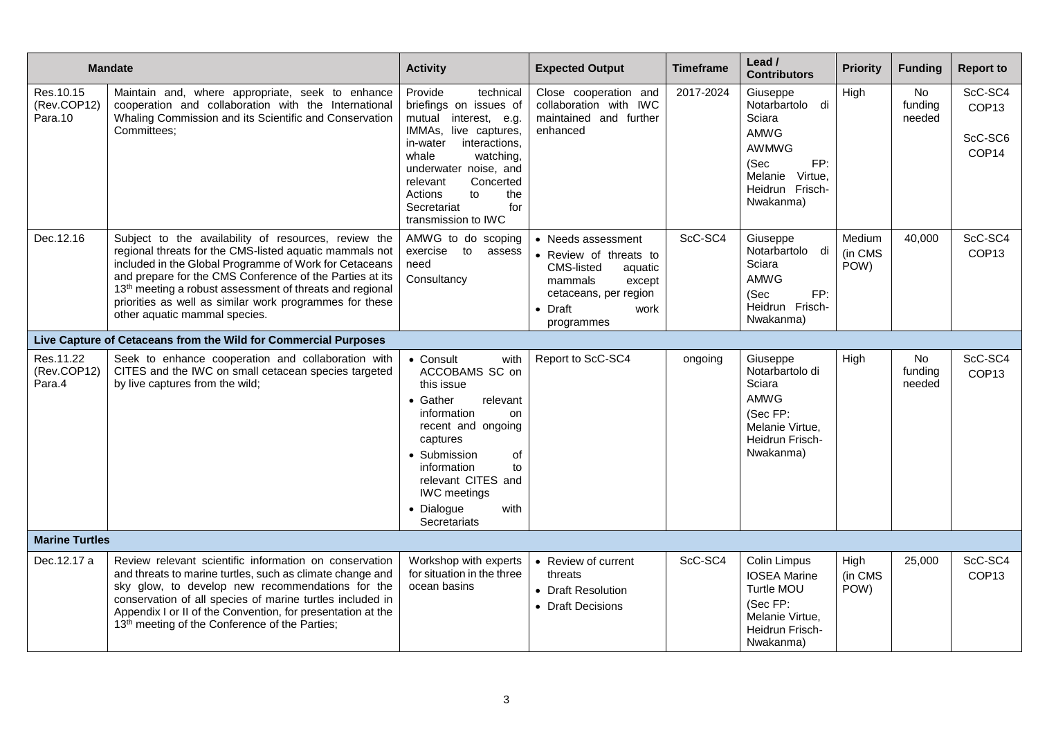|                                     | <b>Mandate</b>                                                                                                                                                                                                                                                                                                                                                                                            | <b>Activity</b>                                                                                                                                                                                                                                                            | <b>Expected Output</b>                                                                                                                                              | <b>Timeframe</b> | Lead /<br><b>Contributors</b>                                                                                                          | <b>Priority</b>           | <b>Funding</b>          | <b>Report to</b>                                             |
|-------------------------------------|-----------------------------------------------------------------------------------------------------------------------------------------------------------------------------------------------------------------------------------------------------------------------------------------------------------------------------------------------------------------------------------------------------------|----------------------------------------------------------------------------------------------------------------------------------------------------------------------------------------------------------------------------------------------------------------------------|---------------------------------------------------------------------------------------------------------------------------------------------------------------------|------------------|----------------------------------------------------------------------------------------------------------------------------------------|---------------------------|-------------------------|--------------------------------------------------------------|
| Res.10.15<br>(Rev.COP12)<br>Para.10 | Maintain and, where appropriate, seek to enhance<br>cooperation and collaboration with the International<br>Whaling Commission and its Scientific and Conservation<br>Committees:                                                                                                                                                                                                                         | Provide<br>technical<br>briefings on issues of<br>mutual interest, e.g.<br>IMMAs, live captures,<br>in-water<br>interactions,<br>whale<br>watching,<br>underwater noise, and<br>Concerted<br>relevant<br>to<br>the<br>Actions<br>Secretariat<br>for<br>transmission to IWC | Close cooperation and<br>collaboration with IWC<br>maintained and further<br>enhanced                                                                               | 2017-2024        | Giuseppe<br>Notarbartolo di<br>Sciara<br><b>AMWG</b><br><b>AWMWG</b><br>(Sec<br>FP:<br>Melanie Virtue,<br>Heidrun Frisch-<br>Nwakanma) | High                      | No<br>funding<br>needed | ScC-SC4<br>COP <sub>13</sub><br>ScC-SC6<br>COP <sub>14</sub> |
| Dec.12.16                           | Subject to the availability of resources, review the<br>regional threats for the CMS-listed aquatic mammals not<br>included in the Global Programme of Work for Cetaceans<br>and prepare for the CMS Conference of the Parties at its<br>13 <sup>th</sup> meeting a robust assessment of threats and regional<br>priorities as well as similar work programmes for these<br>other aquatic mammal species. | AMWG to do scoping<br>exercise to<br>assess<br>need<br>Consultancy                                                                                                                                                                                                         | • Needs assessment<br>• Review of threats to<br><b>CMS-listed</b><br>aquatic<br>mammals<br>except<br>cetaceans, per region<br>$\bullet$ Draft<br>work<br>programmes | ScC-SC4          | Giuseppe<br>Notarbartolo di<br>Sciara<br>AMWG<br>(Sec<br>FP:<br>Heidrun Frisch-<br>Nwakanma)                                           | Medium<br>(in CMS<br>POW) | 40,000                  | ScC-SC4<br>COP <sub>13</sub>                                 |
|                                     | Live Capture of Cetaceans from the Wild for Commercial Purposes                                                                                                                                                                                                                                                                                                                                           |                                                                                                                                                                                                                                                                            |                                                                                                                                                                     |                  |                                                                                                                                        |                           |                         |                                                              |
| Res.11.22<br>(Rev.COP12)<br>Para.4  | Seek to enhance cooperation and collaboration with<br>CITES and the IWC on small cetacean species targeted<br>by live captures from the wild;                                                                                                                                                                                                                                                             | • Consult<br>with<br>ACCOBAMS SC on<br>this issue<br>• Gather<br>relevant<br>information<br>on<br>recent and ongoing<br>captures<br>• Submission<br>of<br>information<br>to<br>relevant CITES and<br><b>IWC</b> meetings<br>• Dialogue<br>with<br>Secretariats             | Report to ScC-SC4                                                                                                                                                   | ongoing          | Giuseppe<br>Notarbartolo di<br>Sciara<br>AMWG<br>(Sec FP:<br>Melanie Virtue.<br>Heidrun Frisch-<br>Nwakanma)                           | High                      | No<br>funding<br>needed | ScC-SC4<br>COP <sub>13</sub>                                 |
| <b>Marine Turtles</b>               |                                                                                                                                                                                                                                                                                                                                                                                                           |                                                                                                                                                                                                                                                                            |                                                                                                                                                                     |                  |                                                                                                                                        |                           |                         |                                                              |
| Dec.12.17 a                         | Review relevant scientific information on conservation<br>and threats to marine turtles, such as climate change and<br>sky glow, to develop new recommendations for the<br>conservation of all species of marine turtles included in<br>Appendix I or II of the Convention, for presentation at the<br>13 <sup>th</sup> meeting of the Conference of the Parties;                                         | Workshop with experts<br>for situation in the three<br>ocean basins                                                                                                                                                                                                        | • Review of current<br>threats<br>• Draft Resolution<br>• Draft Decisions                                                                                           | ScC-SC4          | Colin Limpus<br><b>IOSEA Marine</b><br>Turtle MOU<br>(Sec FP:<br>Melanie Virtue,<br>Heidrun Frisch-<br>Nwakanma)                       | High<br>(in CMS<br>POW)   | 25,000                  | ScC-SC4<br>COP <sub>13</sub>                                 |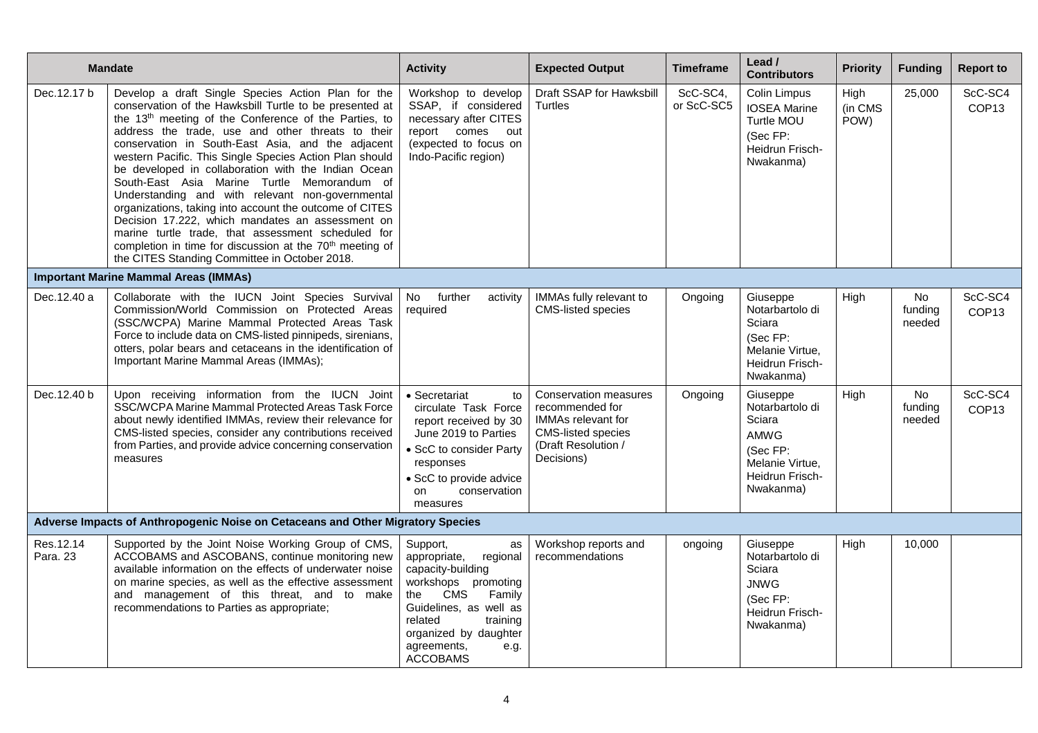|                        | <b>Mandate</b>                                                                                                                                                                                                                                                                                                                                                                                                                                                                                                                                                                                                                                                                                                                                                                                                  | <b>Activity</b>                                                                                                                                                                                                                           | <b>Expected Output</b>                                                                                                                  | <b>Timeframe</b>       | Lead /<br><b>Contributors</b>                                                                                       | <b>Priority</b>         | <b>Funding</b>           | <b>Report to</b>             |
|------------------------|-----------------------------------------------------------------------------------------------------------------------------------------------------------------------------------------------------------------------------------------------------------------------------------------------------------------------------------------------------------------------------------------------------------------------------------------------------------------------------------------------------------------------------------------------------------------------------------------------------------------------------------------------------------------------------------------------------------------------------------------------------------------------------------------------------------------|-------------------------------------------------------------------------------------------------------------------------------------------------------------------------------------------------------------------------------------------|-----------------------------------------------------------------------------------------------------------------------------------------|------------------------|---------------------------------------------------------------------------------------------------------------------|-------------------------|--------------------------|------------------------------|
| Dec.12.17 b            | Develop a draft Single Species Action Plan for the<br>conservation of the Hawksbill Turtle to be presented at<br>the 13 <sup>th</sup> meeting of the Conference of the Parties, to<br>address the trade, use and other threats to their<br>conservation in South-East Asia, and the adjacent<br>western Pacific. This Single Species Action Plan should<br>be developed in collaboration with the Indian Ocean<br>South-East Asia Marine Turtle Memorandum of<br>Understanding and with relevant non-governmental<br>organizations, taking into account the outcome of CITES<br>Decision 17.222, which mandates an assessment on<br>marine turtle trade, that assessment scheduled for<br>completion in time for discussion at the 70 <sup>th</sup> meeting of<br>the CITES Standing Committee in October 2018. | Workshop to develop<br>SSAP, if considered<br>necessary after CITES<br>report comes out<br>(expected to focus on<br>Indo-Pacific region)                                                                                                  | Draft SSAP for Hawksbill<br>Turtles                                                                                                     | ScC-SC4,<br>or ScC-SC5 | <b>Colin Limpus</b><br><b>IOSEA Marine</b><br>Turtle MOU<br>(Sec FP:<br>Heidrun Frisch-<br>Nwakanma)                | High<br>(in CMS<br>POW) | 25,000                   | ScC-SC4<br>COP <sub>13</sub> |
|                        | <b>Important Marine Mammal Areas (IMMAs)</b>                                                                                                                                                                                                                                                                                                                                                                                                                                                                                                                                                                                                                                                                                                                                                                    |                                                                                                                                                                                                                                           |                                                                                                                                         |                        |                                                                                                                     |                         |                          |                              |
| Dec.12.40 a            | Collaborate with the IUCN Joint Species Survival<br>Commission/World Commission on Protected Areas<br>(SSC/WCPA) Marine Mammal Protected Areas Task<br>Force to include data on CMS-listed pinnipeds, sirenians,<br>otters, polar bears and cetaceans in the identification of<br>Important Marine Mammal Areas (IMMAs);                                                                                                                                                                                                                                                                                                                                                                                                                                                                                        | further<br>No<br>activity<br>required                                                                                                                                                                                                     | IMMAs fully relevant to<br><b>CMS-listed species</b>                                                                                    | Ongoing                | Giuseppe<br>Notarbartolo di<br>Sciara<br>(Sec FP:<br>Melanie Virtue.<br>Heidrun Frisch-<br>Nwakanma)                | High                    | No<br>funding<br>needed  | ScC-SC4<br>COP <sub>13</sub> |
| Dec. 12.40 b           | Upon receiving information from the IUCN Joint<br>SSC/WCPA Marine Mammal Protected Areas Task Force<br>about newly identified IMMAs, review their relevance for<br>CMS-listed species, consider any contributions received<br>from Parties, and provide advice concerning conservation<br>measures                                                                                                                                                                                                                                                                                                                                                                                                                                                                                                              | • Secretariat<br>to<br>circulate Task Force<br>report received by 30<br>June 2019 to Parties<br>• ScC to consider Party<br>responses<br>• ScC to provide advice<br><sub>on</sub><br>conservation<br>measures                              | Conservation measures<br>recommended for<br><b>IMMAs relevant for</b><br><b>CMS-listed species</b><br>(Draft Resolution /<br>Decisions) | Ongoing                | Giuseppe<br>Notarbartolo di<br>Sciara<br><b>AMWG</b><br>(Sec FP:<br>Melanie Virtue.<br>Heidrun Frisch-<br>Nwakanma) | High                    | No.<br>funding<br>needed | ScC-SC4<br>COP <sub>13</sub> |
|                        | Adverse Impacts of Anthropogenic Noise on Cetaceans and Other Migratory Species                                                                                                                                                                                                                                                                                                                                                                                                                                                                                                                                                                                                                                                                                                                                 |                                                                                                                                                                                                                                           |                                                                                                                                         |                        |                                                                                                                     |                         |                          |                              |
| Res. 12.14<br>Para. 23 | Supported by the Joint Noise Working Group of CMS,<br>ACCOBAMS and ASCOBANS, continue monitoring new<br>available information on the effects of underwater noise<br>on marine species, as well as the effective assessment<br>and management of this threat, and to make<br>recommendations to Parties as appropriate;                                                                                                                                                                                                                                                                                                                                                                                                                                                                                          | Support,<br>as<br>appropriate,<br>regional<br>capacity-building<br>workshops promoting<br>the<br><b>CMS</b><br>Family<br>Guidelines, as well as<br>related<br>training<br>organized by daughter<br>agreements,<br>e.g.<br><b>ACCOBAMS</b> | Workshop reports and<br>recommendations                                                                                                 | ongoing                | Giuseppe<br>Notarbartolo di<br>Sciara<br><b>JNWG</b><br>(Sec FP:<br>Heidrun Frisch-<br>Nwakanma)                    | High                    | 10,000                   |                              |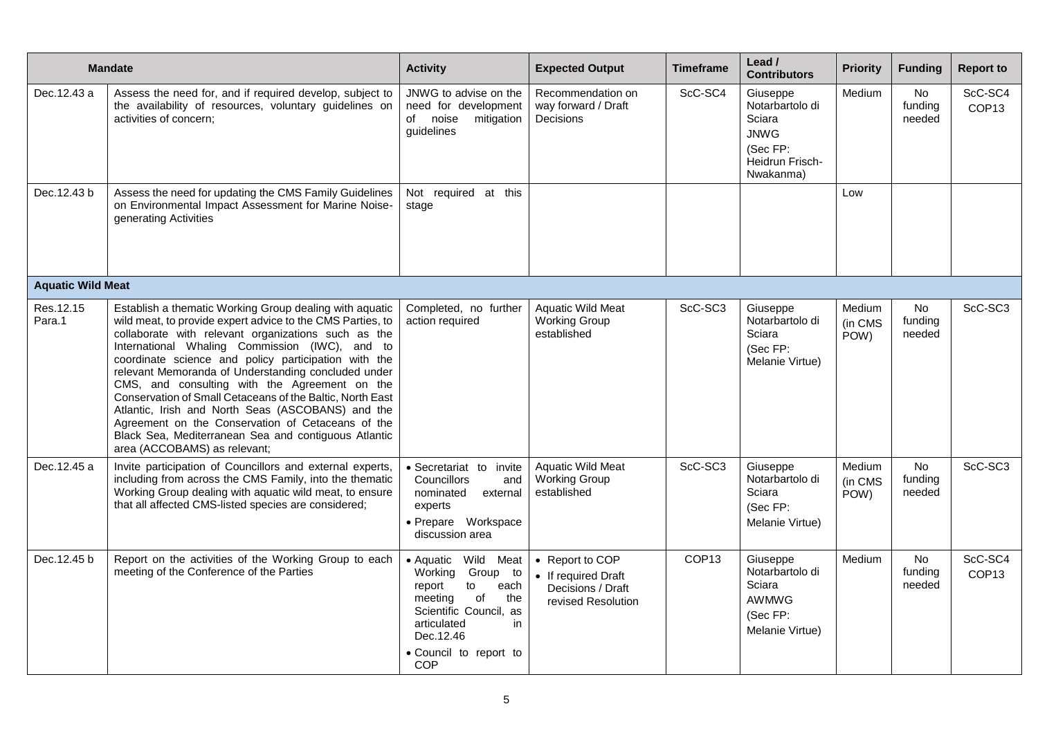|                          | <b>Mandate</b>                                                                                                                                                                                                                                                                                                                                                                                                                                                                                                                                                                                                                                                | <b>Activity</b>                                                                                                                                                                                     | <b>Expected Output</b>                                                            | <b>Timeframe</b>  | Lead /<br><b>Contributors</b>                                                                    | <b>Priority</b>           | <b>Funding</b>                 | <b>Report to</b>             |
|--------------------------|---------------------------------------------------------------------------------------------------------------------------------------------------------------------------------------------------------------------------------------------------------------------------------------------------------------------------------------------------------------------------------------------------------------------------------------------------------------------------------------------------------------------------------------------------------------------------------------------------------------------------------------------------------------|-----------------------------------------------------------------------------------------------------------------------------------------------------------------------------------------------------|-----------------------------------------------------------------------------------|-------------------|--------------------------------------------------------------------------------------------------|---------------------------|--------------------------------|------------------------------|
| Dec.12.43 a              | Assess the need for, and if required develop, subject to<br>the availability of resources, voluntary guidelines on<br>activities of concern;                                                                                                                                                                                                                                                                                                                                                                                                                                                                                                                  | JNWG to advise on the<br>need for development<br>noise<br>mitigation<br>of<br>guidelines                                                                                                            | Recommendation on<br>way forward / Draft<br>Decisions                             | ScC-SC4           | Giuseppe<br>Notarbartolo di<br>Sciara<br><b>JNWG</b><br>(Sec FP:<br>Heidrun Frisch-<br>Nwakanma) | Medium                    | No<br>funding<br>needed        | ScC-SC4<br>COP <sub>13</sub> |
| Dec.12.43 b              | Assess the need for updating the CMS Family Guidelines<br>on Environmental Impact Assessment for Marine Noise-<br>generating Activities                                                                                                                                                                                                                                                                                                                                                                                                                                                                                                                       | Not required at this<br>stage                                                                                                                                                                       |                                                                                   |                   |                                                                                                  | Low                       |                                |                              |
| <b>Aquatic Wild Meat</b> |                                                                                                                                                                                                                                                                                                                                                                                                                                                                                                                                                                                                                                                               |                                                                                                                                                                                                     |                                                                                   |                   |                                                                                                  |                           |                                |                              |
| Res.12.15<br>Para.1      | Establish a thematic Working Group dealing with aquatic<br>wild meat, to provide expert advice to the CMS Parties, to<br>collaborate with relevant organizations such as the<br>International Whaling Commission (IWC), and to<br>coordinate science and policy participation with the<br>relevant Memoranda of Understanding concluded under<br>CMS, and consulting with the Agreement on the<br>Conservation of Small Cetaceans of the Baltic, North East<br>Atlantic, Irish and North Seas (ASCOBANS) and the<br>Agreement on the Conservation of Cetaceans of the<br>Black Sea, Mediterranean Sea and contiguous Atlantic<br>area (ACCOBAMS) as relevant; | Completed, no further<br>action required                                                                                                                                                            | <b>Aquatic Wild Meat</b><br>Working Group<br>established                          | ScC-SC3           | Giuseppe<br>Notarbartolo di<br>Sciara<br>(Sec FP:<br>Melanie Virtue)                             | Medium<br>(in CMS<br>POW) | <b>No</b><br>funding<br>needed | ScC-SC3                      |
| Dec. 12.45 a             | Invite participation of Councillors and external experts,<br>including from across the CMS Family, into the thematic<br>Working Group dealing with aquatic wild meat, to ensure<br>that all affected CMS-listed species are considered;                                                                                                                                                                                                                                                                                                                                                                                                                       | · Secretariat to invite<br>Councillors<br>and<br>nominated<br>external<br>experts<br>· Prepare Workspace<br>discussion area                                                                         | <b>Aquatic Wild Meat</b><br><b>Working Group</b><br>established                   | ScC-SC3           | Giuseppe<br>Notarbartolo di<br>Sciara<br>(Sec FP:<br>Melanie Virtue)                             | Medium<br>(in CMS<br>POW) | <b>No</b><br>funding<br>needed | ScC-SC3                      |
| Dec.12.45 b              | Report on the activities of the Working Group to each<br>meeting of the Conference of the Parties                                                                                                                                                                                                                                                                                                                                                                                                                                                                                                                                                             | $\bullet$ Aquatic<br>Wild Meat<br>Working<br>Group to<br>report<br>to<br>each<br>meeting<br>of<br>the<br>Scientific Council, as<br>articulated<br>in<br>Dec. 12.46<br>• Council to report to<br>COP | • Report to COP<br>• If required Draft<br>Decisions / Draft<br>revised Resolution | COP <sub>13</sub> | Giuseppe<br>Notarbartolo di<br>Sciara<br><b>AWMWG</b><br>(Sec FP:<br>Melanie Virtue)             | Medium                    | <b>No</b><br>funding<br>needed | ScC-SC4<br>COP <sub>13</sub> |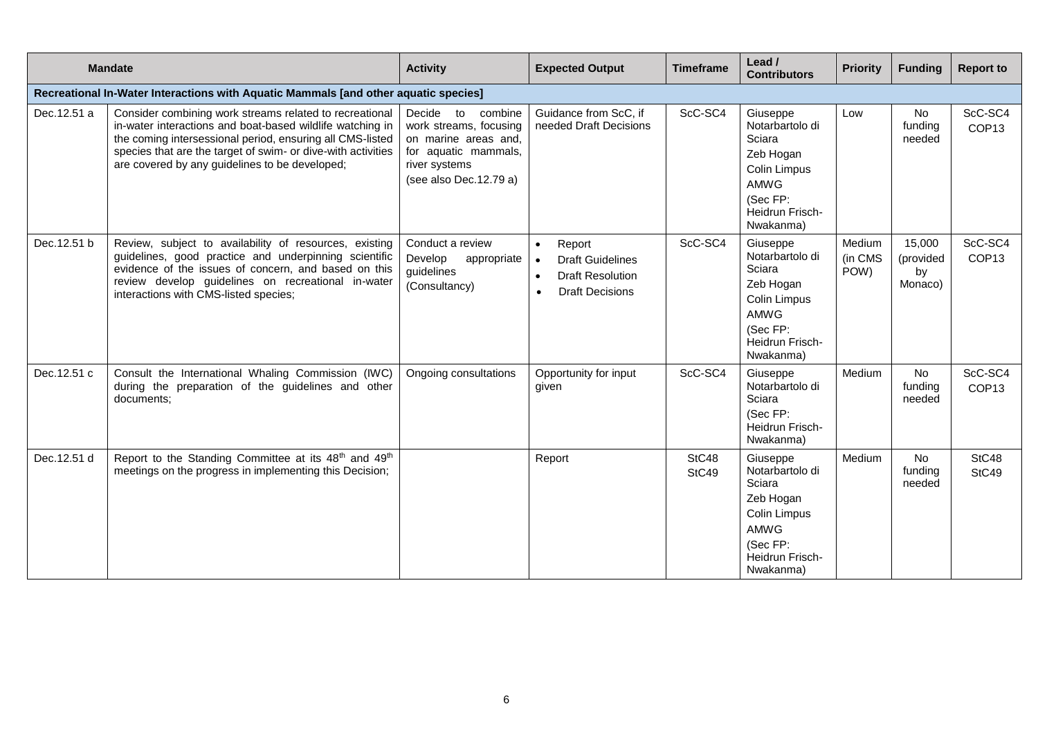|                                                                                     | <b>Mandate</b>                                                                                                                                                                                                                                                                                      | <b>Activity</b>                                                                                                                              | <b>Expected Output</b>                                                                                                                     | <b>Timeframe</b> | Lead /<br><b>Contributors</b>                                                                                                        | <b>Priority</b>           | <b>Funding</b>                       | <b>Report to</b>             |
|-------------------------------------------------------------------------------------|-----------------------------------------------------------------------------------------------------------------------------------------------------------------------------------------------------------------------------------------------------------------------------------------------------|----------------------------------------------------------------------------------------------------------------------------------------------|--------------------------------------------------------------------------------------------------------------------------------------------|------------------|--------------------------------------------------------------------------------------------------------------------------------------|---------------------------|--------------------------------------|------------------------------|
| Recreational In-Water Interactions with Aquatic Mammals [and other aquatic species] |                                                                                                                                                                                                                                                                                                     |                                                                                                                                              |                                                                                                                                            |                  |                                                                                                                                      |                           |                                      |                              |
| Dec.12.51 a                                                                         | Consider combining work streams related to recreational<br>in-water interactions and boat-based wildlife watching in<br>the coming intersessional period, ensuring all CMS-listed<br>species that are the target of swim- or dive-with activities<br>are covered by any guidelines to be developed; | Decide<br>to<br>combine<br>work streams, focusing<br>on marine areas and,<br>for aquatic mammals,<br>river systems<br>(see also Dec.12.79 a) | Guidance from ScC, if<br>needed Draft Decisions                                                                                            | ScC-SC4          | Giuseppe<br>Notarbartolo di<br>Sciara<br>Zeb Hogan<br>Colin Limpus<br><b>AMWG</b><br>(Sec FP:<br>Heidrun Frisch-<br>Nwakanma)        | Low                       | No<br>funding<br>needed              | ScC-SC4<br>COP <sub>13</sub> |
| Dec.12.51 b                                                                         | Review, subject to availability of resources, existing<br>guidelines, good practice and underpinning scientific<br>evidence of the issues of concern, and based on this<br>review develop guidelines on recreational in-water<br>interactions with CMS-listed species;                              | Conduct a review<br>Develop<br>appropriate<br>guidelines<br>(Consultancy)                                                                    | Report<br>$\bullet$<br><b>Draft Guidelines</b><br>$\bullet$<br><b>Draft Resolution</b><br>$\bullet$<br><b>Draft Decisions</b><br>$\bullet$ | ScC-SC4          | Giuseppe<br>Notarbartolo di<br>Sciara<br>Zeb Hogan<br><b>Colin Limpus</b><br><b>AMWG</b><br>(Sec FP:<br>Heidrun Frisch-<br>Nwakanma) | Medium<br>(in CMS<br>POW) | 15,000<br>(provided<br>by<br>Monaco) | ScC-SC4<br>COP <sub>13</sub> |
| Dec.12.51 c                                                                         | Consult the International Whaling Commission (IWC)<br>during the preparation of the guidelines and other<br>documents;                                                                                                                                                                              | Ongoing consultations                                                                                                                        | Opportunity for input<br>given                                                                                                             | ScC-SC4          | Giuseppe<br>Notarbartolo di<br>Sciara<br>(Sec FP:<br>Heidrun Frisch-<br>Nwakanma)                                                    | Medium                    | No<br>funding<br>needed              | ScC-SC4<br>COP <sub>13</sub> |
| Dec.12.51 d                                                                         | Report to the Standing Committee at its 48 <sup>th</sup> and 49 <sup>th</sup><br>meetings on the progress in implementing this Decision;                                                                                                                                                            |                                                                                                                                              | Report                                                                                                                                     | StC48<br>StC49   | Giuseppe<br>Notarbartolo di<br>Sciara<br>Zeb Hogan<br>Colin Limpus<br><b>AMWG</b><br>(Sec FP:<br>Heidrun Frisch-<br>Nwakanma)        | Medium                    | <b>No</b><br>funding<br>needed       | StC48<br>StC49               |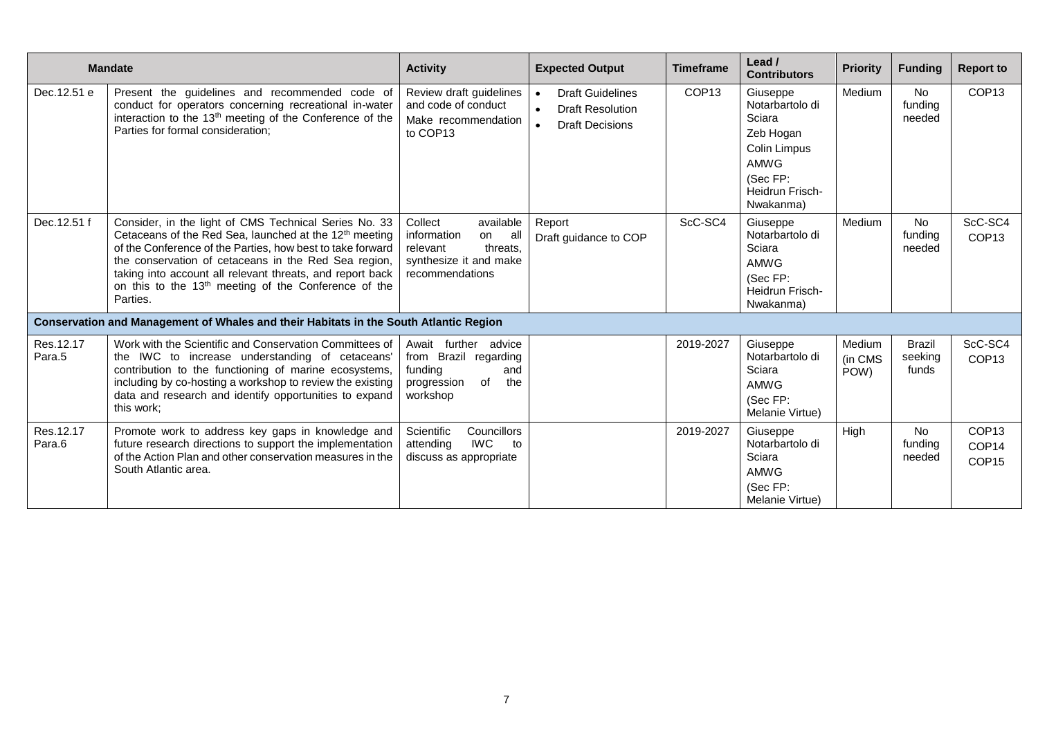|                     | <b>Mandate</b>                                                                                                                                                                                                                                                                                                                                                                                 | <b>Activity</b>                                                                                                       | <b>Expected Output</b>                                                                                              | <b>Timeframe</b>  | Lead /<br><b>Contributors</b>                                                                                                 | <b>Priority</b>           | <b>Funding</b>                    | <b>Report to</b>                                |
|---------------------|------------------------------------------------------------------------------------------------------------------------------------------------------------------------------------------------------------------------------------------------------------------------------------------------------------------------------------------------------------------------------------------------|-----------------------------------------------------------------------------------------------------------------------|---------------------------------------------------------------------------------------------------------------------|-------------------|-------------------------------------------------------------------------------------------------------------------------------|---------------------------|-----------------------------------|-------------------------------------------------|
| Dec.12.51 e         | Present the guidelines and recommended code of<br>conduct for operators concerning recreational in-water<br>interaction to the 13 <sup>th</sup> meeting of the Conference of the<br>Parties for formal consideration;                                                                                                                                                                          | Review draft guidelines<br>and code of conduct<br>Make recommendation<br>to COP13                                     | <b>Draft Guidelines</b><br>$\bullet$<br><b>Draft Resolution</b><br>$\bullet$<br><b>Draft Decisions</b><br>$\bullet$ | COP <sub>13</sub> | Giuseppe<br>Notarbartolo di<br>Sciara<br>Zeb Hogan<br><b>Colin Limpus</b><br>AMWG<br>(Sec FP:<br>Heidrun Frisch-<br>Nwakanma) | Medium                    | <b>No</b><br>fundina<br>needed    | COP <sub>13</sub>                               |
| Dec.12.51 f         | Consider, in the light of CMS Technical Series No. 33<br>Cetaceans of the Red Sea, launched at the 12 <sup>th</sup> meeting<br>of the Conference of the Parties, how best to take forward<br>the conservation of cetaceans in the Red Sea region,<br>taking into account all relevant threats, and report back<br>on this to the 13 <sup>th</sup> meeting of the Conference of the<br>Parties. | available<br>Collect<br>information<br>all<br>on<br>threats,<br>relevant<br>synthesize it and make<br>recommendations | Report<br>Draft guidance to COP                                                                                     | ScC-SC4           | Giuseppe<br>Notarbartolo di<br>Sciara<br><b>AMWG</b><br>(Sec FP:<br>Heidrun Frisch-<br>Nwakanma)                              | Medium                    | <b>No</b><br>funding<br>needed    | ScC-SC4<br>COP <sub>13</sub>                    |
|                     | Conservation and Management of Whales and their Habitats in the South Atlantic Region                                                                                                                                                                                                                                                                                                          |                                                                                                                       |                                                                                                                     |                   |                                                                                                                               |                           |                                   |                                                 |
| Res.12.17<br>Para.5 | Work with the Scientific and Conservation Committees of<br>the IWC to increase understanding of cetaceans'<br>contribution to the functioning of marine ecosystems,<br>including by co-hosting a workshop to review the existing<br>data and research and identify opportunities to expand<br>this work:                                                                                       | Await further<br>advice<br>from Brazil regarding<br>funding<br>and<br>progression<br>of<br>the<br>workshop            |                                                                                                                     | 2019-2027         | Giuseppe<br>Notarbartolo di<br>Sciara<br>AMWG<br>(Sec FP:<br>Melanie Virtue)                                                  | Medium<br>(in CMS<br>POW) | <b>Brazil</b><br>seeking<br>funds | ScC-SC4<br>COP <sub>13</sub>                    |
| Res.12.17<br>Para.6 | Promote work to address key gaps in knowledge and<br>future research directions to support the implementation<br>of the Action Plan and other conservation measures in the<br>South Atlantic area.                                                                                                                                                                                             | Councillors<br>Scientific<br><b>IWC</b><br>attending<br>to<br>discuss as appropriate                                  |                                                                                                                     | 2019-2027         | Giuseppe<br>Notarbartolo di<br>Sciara<br>AMWG<br>(Sec FP:<br>Melanie Virtue)                                                  | High                      | <b>No</b><br>funding<br>needed    | COP <sub>13</sub><br>COP14<br>COP <sub>15</sub> |